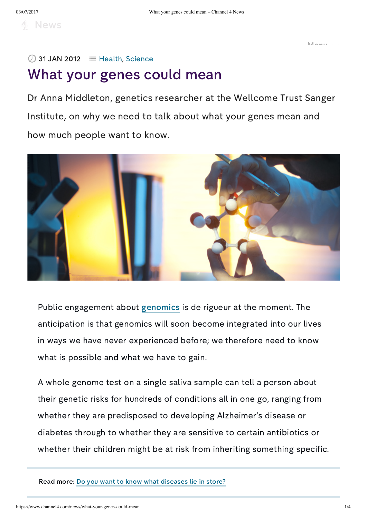4 News

Menu

## $\oslash$  31 JAN 2012  $\equiv$  [Health](https://www.channel4.com/news/health), [Science](https://www.channel4.com/news/science)

## What your genes could mean

Dr Anna Middleton, genetics researcher at the Wellcome Trust Sanger Institute, on why we need to talk about what your genes mean and how much people want to know.



Public engagement about [genomics](http://www.genome.gov/18016863) is de rigueur at the moment. The anticipation is that genomics will soon become integrated into our lives in ways we have never experienced before; we therefore need to know what is possible and what we have to gain.

A whole genome test on a single saliva sample can tell a person about their genetic risks for hundreds of conditions all in one go, ranging from whether they are predisposed to developing Alzheimer's disease or diabetes through to whether they are sensitive to certain antibiotics or whether their children might be at risk from inheriting something specific.

Read more: Do you want to know what [diseases](http://www.channel4.com/news/would-you-want-to-know-what-diseases-are-in-your-future) lie in store?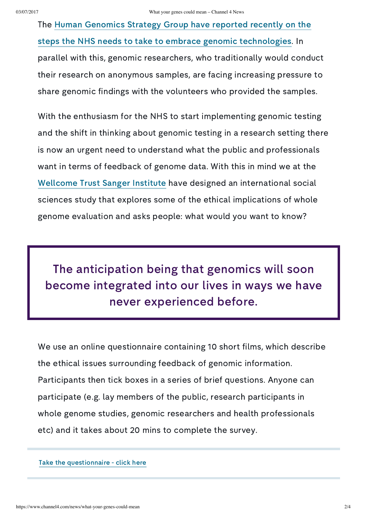The Human Genomics Strategy Group have reported recently on the steps the NHS needs to take to embrace genomic [technologies.](http://www.channel4.com/news/nhs-off-the-pace-in-genetic-research) In parallel with this, genomic researchers, who traditionally would conduct their research on anonymous samples, are facing increasing pressure to share genomic findings with the volunteers who provided the samples.

With the enthusiasm for the NHS to start implementing genomic testing and the shift in thinking about genomic testing in a research setting there is now an urgent need to understand what the public and professionals want in terms of feedback of genome data. With this in mind we at the [Wellcome](http://www.sanger.ac.uk/) Trust Sanger Institute have designed an international social sciences study that explores some of the ethical implications of whole genome evaluation and asks people: what would you want to know?

The anticipation being that genomics will soon become integrated into our lives in ways we have never experienced before.

We use an online questionnaire containing 10 short films, which describe the ethical issues surrounding feedback of genomic information. Participants then tick boxes in a series of brief questions. Anyone can participate (e.g. lay members of the public, research participants in whole genome studies, genomic researchers and health professionals etc) and it takes about 20 mins to complete the survey.

Take the [questionnaire](http://www.genomethics.org/) - click here